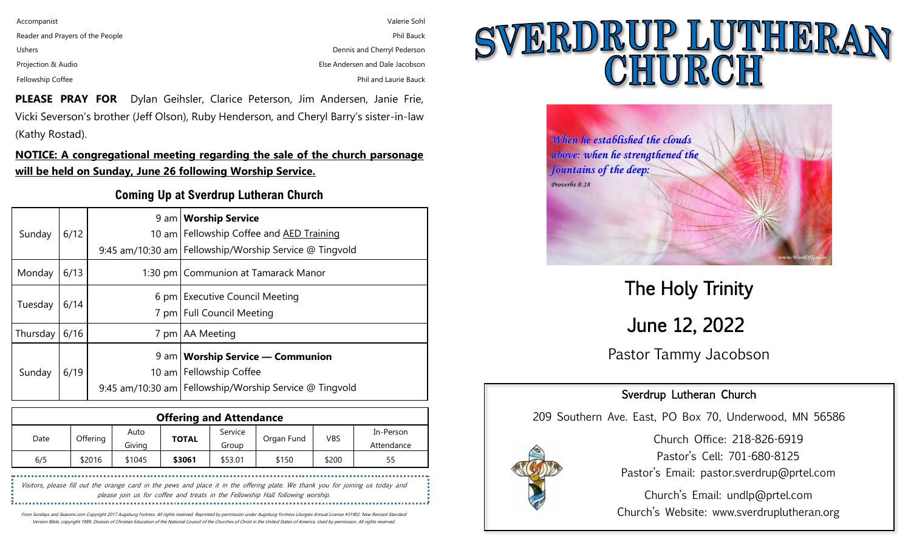| Accompanist                      | Valerie Sohl                    |
|----------------------------------|---------------------------------|
| Reader and Prayers of the People | <b>Phil Bauck</b>               |
| <b>Ushers</b>                    | Dennis and Cherryl Pederson     |
| Projection & Audio               | Else Andersen and Dale Jacobson |
| Fellowship Coffee                | Phil and Laurie Bauck           |

**PLEASE PRAY FOR** Dylan Geihsler, Clarice Peterson, Jim Andersen, Janie Frie, Vicki Severson's brother (Jeff Olson), Ruby Henderson, and Cheryl Barry's sister-in-law (Kathy Rostad).

**NOTICE: A congregational meeting regarding the sale of the church parsonage will be held on Sunday, June 26 following Worship Service.** 

#### **Coming Up at Sverdrup Lutheran Church**

| Sunday   | 6/12 |                  | 9 am   Worship Service<br>10 am Fellowship Coffee and AED Training<br>9:45 am/10:30 am   Fellowship/Worship Service @ Tingvold |
|----------|------|------------------|--------------------------------------------------------------------------------------------------------------------------------|
| Monday   | 6/13 |                  | 1:30 pm   Communion at Tamarack Manor                                                                                          |
| Tuesday  | 6/14 |                  | 6 pm Executive Council Meeting<br>7 pm   Full Council Meeting                                                                  |
| Thursday | 6/16 | 7 pm             | <b>AA</b> Meeting                                                                                                              |
| Sunday   | 6/19 | 10 <sub>am</sub> | $9$ am   Worship Service — Communion<br><b>Fellowship Coffee</b><br>9:45 am/10:30 am   Fellowship/Worship Service @ Tingvold   |

| <b>Offering and Attendance</b> |          |                |              |                  |            |            |                         |
|--------------------------------|----------|----------------|--------------|------------------|------------|------------|-------------------------|
| Date                           | Offering | Auto<br>Givina | <b>TOTAL</b> | Service<br>Group | Organ Fund | <b>VBS</b> | In-Person<br>Attendance |
| 6/5                            | \$2016   | \$1045         | \$3061       | \$53.01          | \$150      | \$200      | 55                      |

Visitors, please fill out the orange card in the pews and place it in the offering plate. We thank you for joining us today and please join us for coffee and treats in the Fellowship Hall following worship. 

From Sundays and Seasons.com Copyright 2017 Augsburg Fortress. All rights reserved. Reprinted by permission under Augsburg Fortress Liturgies Annual License #31902. New Revised Standard Version Bible, copyright 1989, Division of Christian Education of the National Council of the Churches of Christ in the United States of America. Used by permission. All rights reserved.

# SVERDRUP LUTHERAN



Pastor Tammy Jacobson June 12, 2022 The Holy Trinity

### Sverdrup Lutheran Church

209 Southern Ave. East, PO Box 70, Underwood, MN 56586



Church Office: 218-826-6919 Pastor's Cell: 701-680-8125 Pastor's Email: pastor.sverdrup@prtel.com

Church's Email: undlp@prtel.com Church's Website: www.sverdruplutheran.org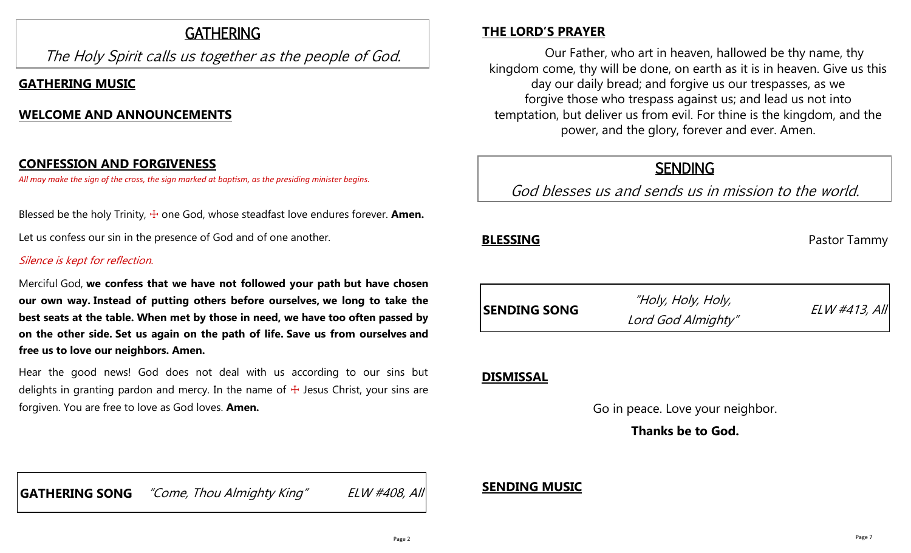# GATHERING

The Holy Spirit calls us together as the people of God.

# **GATHERING MUSIC**

## **WELCOME AND ANNOUNCEMENTS**

## **CONFESSION AND FORGIVENESS**

*All may make the sign of the cross, the sign marked at baptism, as the presiding minister begins.*

Blessed be the holy Trinity,  $\pm$  one God, whose steadfast love endures forever. **Amen.** 

Let us confess our sin in the presence of God and of one another.

#### Silence is kept for reflection.

Merciful God, **we confess that we have not followed your path but have chosen our own way. Instead of putting others before ourselves, we long to take the best seats at the table. When met by those in need, we have too often passed by on the other side. Set us again on the path of life. Save us from ourselves and free us to love our neighbors. Amen.**

Hear the good news! God does not deal with us according to our sins but delights in granting pardon and mercy. In the name of  $+$  Jesus Christ, your sins are forgiven. You are free to love as God loves. **Amen.**

# **THE LORD'S PRAYER**

Our Father, who art in heaven, hallowed be thy name, thy kingdom come, thy will be done, on earth as it is in heaven. Give us this day our daily bread; and forgive us our trespasses, as we forgive those who trespass against us; and lead us not into temptation, but deliver us from evil. For thine is the kingdom, and the power, and the glory, forever and ever. Amen.

# **SENDING**

God blesses us and sends us in mission to the world.

**BLESSING** Pastor Tammy



# **DISMISSAL**

Go in peace. Love your neighbor.

**Thanks be to God.**

**GATHERING SONG** "Come, Thou Almighty King" ELW #408, All

# **SENDING MUSIC**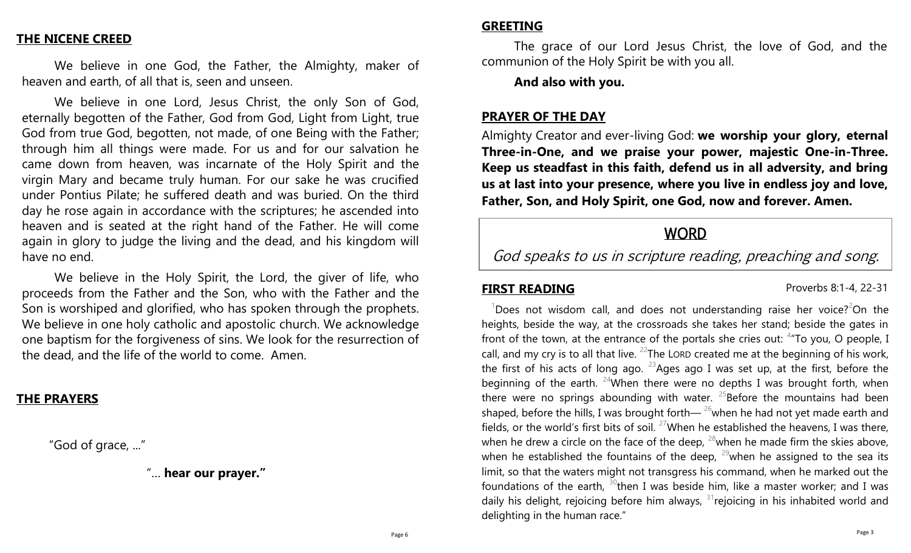#### **THE NICENE CREED**

We believe in one God, the Father, the Almighty, maker of heaven and earth, of all that is, seen and unseen.

We believe in one Lord, Jesus Christ, the only Son of God, eternally begotten of the Father, God from God, Light from Light, true God from true God, begotten, not made, of one Being with the Father; through him all things were made. For us and for our salvation he came down from heaven, was incarnate of the Holy Spirit and the virgin Mary and became truly human. For our sake he was crucified under Pontius Pilate; he suffered death and was buried. On the third day he rose again in accordance with the scriptures; he ascended into heaven and is seated at the right hand of the Father. He will come again in glory to judge the living and the dead, and his kingdom will have no end.

We believe in the Holy Spirit, the Lord, the giver of life, who proceeds from the Father and the Son, who with the Father and the Son is worshiped and glorified, who has spoken through the prophets. We believe in one holy catholic and apostolic church. We acknowledge one baptism for the forgiveness of sins. We look for the resurrection of the dead, and the life of the world to come. Amen.

#### **THE PRAYERS**

"God of grace, ..."

"… **hear our prayer."**

#### **GREETING**

The grace of our Lord Jesus Christ, the love of God, and the communion of the Holy Spirit be with you all.

#### **And also with you.**

#### **PRAYER OF THE DAY**

Almighty Creator and ever-living God: **we worship your glory, eternal Three-in-One, and we praise your power, majestic One-in-Three. Keep us steadfast in this faith, defend us in all adversity, and bring us at last into your presence, where you live in endless joy and love, Father, Son, and Holy Spirit, one God, now and forever. Amen.**

# **WORD**

God speaks to us in scripture reading, preaching and song.

**FIRST READING** Proverbs 8:1-4, 22-31

 $1$ Does not wisdom call, and does not understanding raise her voice?<sup>2</sup>On the heights, beside the way, at the crossroads she takes her stand; beside the gates in front of the town, at the entrance of the portals she cries out:  $4\pi$ To you, O people, I call, and my cry is to all that live. <sup>22</sup>The LORD created me at the beginning of his work, the first of his acts of long ago.  $23$ Ages ago I was set up, at the first, before the beginning of the earth. <sup>24</sup>When there were no depths I was brought forth, when there were no springs abounding with water.  $25$ Before the mountains had been shaped, before the hills, I was brought forth— $^{26}$ when he had not yet made earth and fields, or the world's first bits of soil.  $27$ When he established the heavens, I was there, when he drew a circle on the face of the deep,  $^{28}$  when he made firm the skies above, when he established the fountains of the deep,  $^{29}$  when he assigned to the sea its limit, so that the waters might not transgress his command, when he marked out the foundations of the earth,  $30$ then I was beside him, like a master worker; and I was daily his delight, rejoicing before him always,  $31$  rejoicing in his inhabited world and delighting in the human race."